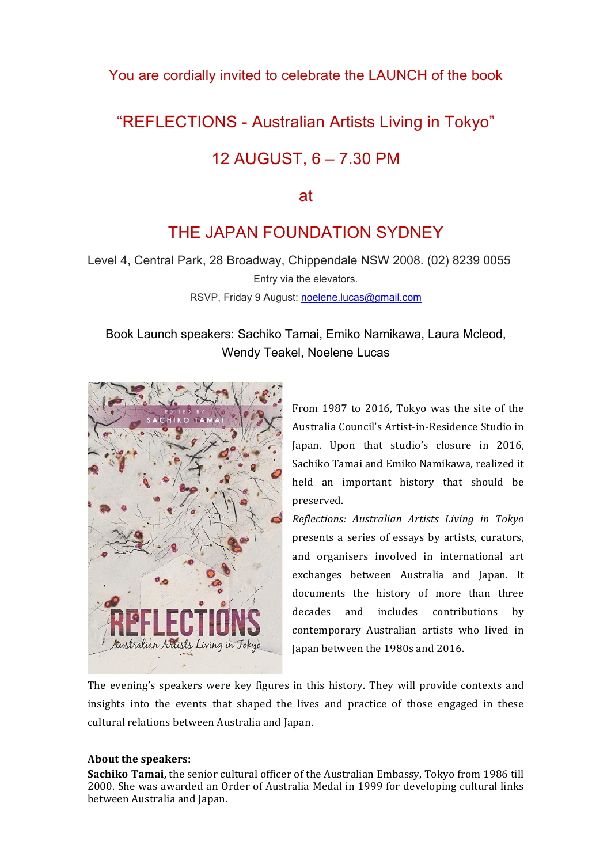### You are cordially invited to celebrate the LAUNCH of the book

# "REFLECTIONS - Australian Artists Living in Tokyo"

## 12 AUGUST, 6 – 7.30 PM

#### at

# THE JAPAN FOUNDATION SYDNEY

Level 4, Central Park, 28 Broadway, Chippendale NSW 2008. (02) 8239 0055 Entry via the elevators.

RSVP, Friday 9 August: noelene.lucas@gmail.com

## Book Launch speakers: Sachiko Tamai, Emiko Namikawa, Laura Mcleod, Wendy Teakel, Noelene Lucas



From 1987 to 2016, Tokyo was the site of the Australia Council's Artist-in-Residence Studio in Japan. Upon that studio's closure in 2016, Sachiko Tamai and Emiko Namikawa, realized it held an important history that should be preserved.

*Reflections:+ Australian+ Artists+ Living+ in+ Tokyo* presents a series of essays by artists, curators, and organisers involved in international art exchanges between Australia and Japan. It documents the history of more than three decades and includes contributions by contemporary Australian artists who lived in Japan between the 1980s and 2016.

The evening's speakers were key figures in this history. They will provide contexts and insights into the events that shaped the lives and practice of those engaged in these cultural relations between Australia and Japan.

#### About the speakers:

**Sachiko Tamai,** the senior cultural officer of the Australian Embassy, Tokyo from 1986 till 2000. She was awarded an Order of Australia Medal in 1999 for developing cultural links between Australia and Japan.